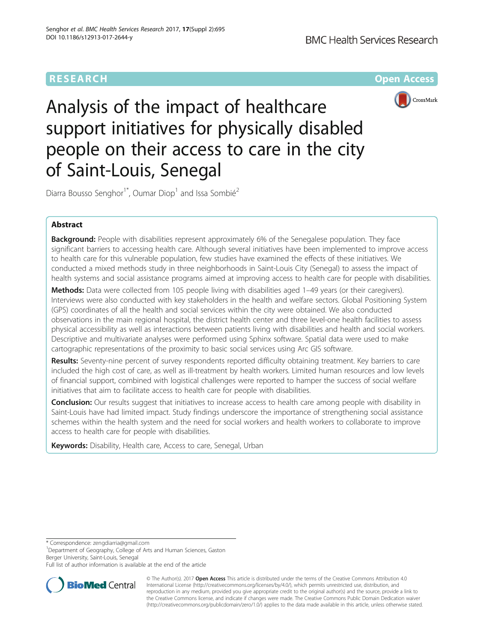# **RESEARCH CHEAR CHEAR CHEAR CHEAR CHEAR CHEAR CHEAR CHEAR CHEAR CHEAR CHEAR CHEAR CHEAR CHEAR CHEAR CHEAR CHEAR**



Analysis of the impact of healthcare support initiatives for physically disabled people on their access to care in the city of Saint-Louis, Senegal

Diarra Bousso Senghor<sup>1\*</sup>, Oumar Diop<sup>1</sup> and Issa Sombié<sup>2</sup>

# Abstract

Background: People with disabilities represent approximately 6% of the Senegalese population. They face significant barriers to accessing health care. Although several initiatives have been implemented to improve access to health care for this vulnerable population, few studies have examined the effects of these initiatives. We conducted a mixed methods study in three neighborhoods in Saint-Louis City (Senegal) to assess the impact of health systems and social assistance programs aimed at improving access to health care for people with disabilities.

Methods: Data were collected from 105 people living with disabilities aged 1–49 years (or their caregivers). Interviews were also conducted with key stakeholders in the health and welfare sectors. Global Positioning System (GPS) coordinates of all the health and social services within the city were obtained. We also conducted observations in the main regional hospital, the district health center and three level-one health facilities to assess physical accessibility as well as interactions between patients living with disabilities and health and social workers. Descriptive and multivariate analyses were performed using Sphinx software. Spatial data were used to make cartographic representations of the proximity to basic social services using Arc GIS software.

Results: Seventy-nine percent of survey respondents reported difficulty obtaining treatment. Key barriers to care included the high cost of care, as well as ill-treatment by health workers. Limited human resources and low levels of financial support, combined with logistical challenges were reported to hamper the success of social welfare initiatives that aim to facilitate access to health care for people with disabilities.

Conclusion: Our results suggest that initiatives to increase access to health care among people with disability in Saint-Louis have had limited impact. Study findings underscore the importance of strengthening social assistance schemes within the health system and the need for social workers and health workers to collaborate to improve access to health care for people with disabilities.

Keywords: Disability, Health care, Access to care, Senegal, Urban

\* Correspondence: [zengdiarria@gmail.com](mailto:zengdiarria@gmail.com) <sup>1</sup>

<sup>1</sup>Department of Geography, College of Arts and Human Sciences, Gaston Berger University, Saint-Louis, Senegal

Full list of author information is available at the end of the article



© The Author(s). 2017 **Open Access** This article is distributed under the terms of the Creative Commons Attribution 4.0 International License [\(http://creativecommons.org/licenses/by/4.0/](http://creativecommons.org/licenses/by/4.0/)), which permits unrestricted use, distribution, and reproduction in any medium, provided you give appropriate credit to the original author(s) and the source, provide a link to the Creative Commons license, and indicate if changes were made. The Creative Commons Public Domain Dedication waiver [\(http://creativecommons.org/publicdomain/zero/1.0/](http://creativecommons.org/publicdomain/zero/1.0/)) applies to the data made available in this article, unless otherwise stated.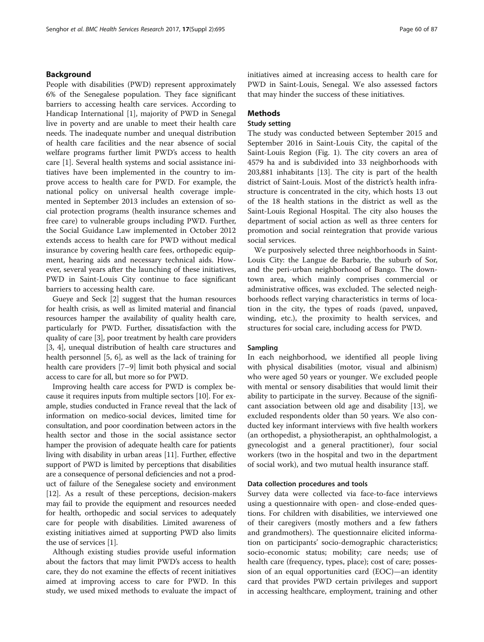# Background

People with disabilities (PWD) represent approximately 6% of the Senegalese population. They face significant barriers to accessing health care services. According to Handicap International [\[1](#page-7-0)], majority of PWD in Senegal live in poverty and are unable to meet their health care needs. The inadequate number and unequal distribution of health care facilities and the near absence of social welfare programs further limit PWD's access to health care [[1\]](#page-7-0). Several health systems and social assistance initiatives have been implemented in the country to improve access to health care for PWD. For example, the national policy on universal health coverage implemented in September 2013 includes an extension of social protection programs (health insurance schemes and free care) to vulnerable groups including PWD. Further, the Social Guidance Law implemented in October 2012 extends access to health care for PWD without medical insurance by covering health care fees, orthopedic equipment, hearing aids and necessary technical aids. However, several years after the launching of these initiatives, PWD in Saint-Louis City continue to face significant barriers to accessing health care.

Gueye and Seck [[2](#page-7-0)] suggest that the human resources for health crisis, as well as limited material and financial resources hamper the availability of quality health care, particularly for PWD. Further, dissatisfaction with the quality of care [\[3\]](#page-7-0), poor treatment by health care providers [[3, 4](#page-7-0)], unequal distribution of health care structures and health personnel [[5](#page-7-0), [6\]](#page-7-0), as well as the lack of training for health care providers [[7](#page-7-0)–[9](#page-7-0)] limit both physical and social access to care for all, but more so for PWD.

Improving health care access for PWD is complex because it requires inputs from multiple sectors [\[10\]](#page-7-0). For example, studies conducted in France reveal that the lack of information on medico-social devices, limited time for consultation, and poor coordination between actors in the health sector and those in the social assistance sector hamper the provision of adequate health care for patients living with disability in urban areas [\[11\]](#page-7-0). Further, effective support of PWD is limited by perceptions that disabilities are a consequence of personal deficiencies and not a product of failure of the Senegalese society and environment [[12](#page-7-0)]. As a result of these perceptions, decision-makers may fail to provide the equipment and resources needed for health, orthopedic and social services to adequately care for people with disabilities. Limited awareness of existing initiatives aimed at supporting PWD also limits the use of services [\[1\]](#page-7-0).

Although existing studies provide useful information about the factors that may limit PWD's access to health care, they do not examine the effects of recent initiatives aimed at improving access to care for PWD. In this study, we used mixed methods to evaluate the impact of initiatives aimed at increasing access to health care for PWD in Saint-Louis, Senegal. We also assessed factors that may hinder the success of these initiatives.

# **Methods**

### Study setting

The study was conducted between September 2015 and September 2016 in Saint-Louis City, the capital of the Saint-Louis Region (Fig. [1](#page-2-0)). The city covers an area of 4579 ha and is subdivided into 33 neighborhoods with 203,881 inhabitants [[13](#page-7-0)]. The city is part of the health district of Saint-Louis. Most of the district's health infrastructure is concentrated in the city, which hosts 13 out of the 18 health stations in the district as well as the Saint-Louis Regional Hospital. The city also houses the department of social action as well as three centers for promotion and social reintegration that provide various social services.

We purposively selected three neighborhoods in Saint-Louis City: the Langue de Barbarie, the suburb of Sor, and the peri-urban neighborhood of Bango. The downtown area, which mainly comprises commercial or administrative offices, was excluded. The selected neighborhoods reflect varying characteristics in terms of location in the city, the types of roads (paved, unpaved, winding, etc.), the proximity to health services, and structures for social care, including access for PWD.

### Sampling

In each neighborhood, we identified all people living with physical disabilities (motor, visual and albinism) who were aged 50 years or younger. We excluded people with mental or sensory disabilities that would limit their ability to participate in the survey. Because of the significant association between old age and disability [\[13](#page-7-0)], we excluded respondents older than 50 years. We also conducted key informant interviews with five health workers (an orthopedist, a physiotherapist, an ophthalmologist, a gynecologist and a general practitioner), four social workers (two in the hospital and two in the department of social work), and two mutual health insurance staff.

### Data collection procedures and tools

Survey data were collected via face-to-face interviews using a questionnaire with open- and close-ended questions. For children with disabilities, we interviewed one of their caregivers (mostly mothers and a few fathers and grandmothers). The questionnaire elicited information on participants' socio-demographic characteristics; socio-economic status; mobility; care needs; use of health care (frequency, types, place); cost of care; possession of an equal opportunities card (EOC)—an identity card that provides PWD certain privileges and support in accessing healthcare, employment, training and other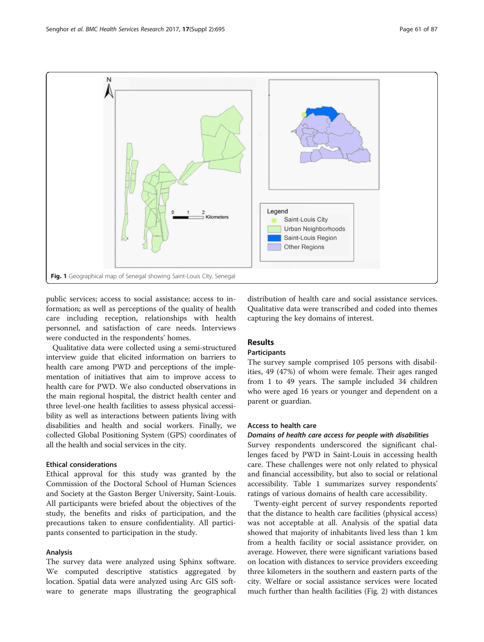<span id="page-2-0"></span>

public services; access to social assistance; access to information; as well as perceptions of the quality of health care including reception, relationships with health personnel, and satisfaction of care needs. Interviews were conducted in the respondents' homes.

Qualitative data were collected using a semi-structured interview guide that elicited information on barriers to health care among PWD and perceptions of the implementation of initiatives that aim to improve access to health care for PWD. We also conducted observations in the main regional hospital, the district health center and three level-one health facilities to assess physical accessibility as well as interactions between patients living with disabilities and health and social workers. Finally, we collected Global Positioning System (GPS) coordinates of all the health and social services in the city.

# Ethical considerations

Ethical approval for this study was granted by the Commission of the Doctoral School of Human Sciences and Society at the Gaston Berger University, Saint-Louis. All participants were briefed about the objectives of the study, the benefits and risks of participation, and the precautions taken to ensure confidentiality. All participants consented to participation in the study.

# Analysis

The survey data were analyzed using Sphinx software. We computed descriptive statistics aggregated by location. Spatial data were analyzed using Arc GIS software to generate maps illustrating the geographical distribution of health care and social assistance services. Qualitative data were transcribed and coded into themes capturing the key domains of interest.

# Results

## Participants

The survey sample comprised 105 persons with disabilities, 49 (47%) of whom were female. Their ages ranged from 1 to 49 years. The sample included 34 children who were aged 16 years or younger and dependent on a parent or guardian.

### Access to health care

### Domains of health care access for people with disabilities

Survey respondents underscored the significant challenges faced by PWD in Saint-Louis in accessing health care. These challenges were not only related to physical and financial accessibility, but also to social or relational accessibility. Table [1](#page-3-0) summarizes survey respondents' ratings of various domains of health care accessibility.

Twenty-eight percent of survey respondents reported that the distance to health care facilities (physical access) was not acceptable at all. Analysis of the spatial data showed that majority of inhabitants lived less than 1 km from a health facility or social assistance provider, on average. However, there were significant variations based on location with distances to service providers exceeding three kilometers in the southern and eastern parts of the city. Welfare or social assistance services were located much further than health facilities (Fig. [2](#page-3-0)) with distances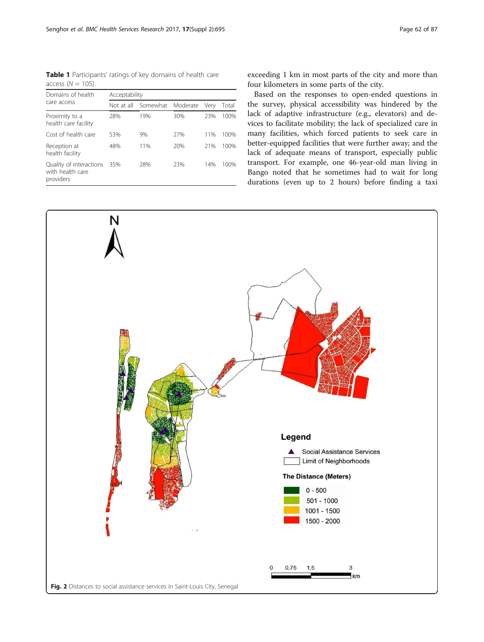<span id="page-3-0"></span>Table 1 Participants' ratings of key domains of health care access  $(N = 105)$ 

| Domains of health<br>care access                         | Acceptability |          |          |      |       |  |
|----------------------------------------------------------|---------------|----------|----------|------|-------|--|
|                                                          | Not at all    | Somewhat | Moderate | Very | Total |  |
| Proximity to a<br>health care facility                   | 28%           | 19%      | 30%      | 23%  | 100%  |  |
| Cost of health care                                      | 53%           | 9%       | 27%      | 11%  | 100%  |  |
| Reception at<br>health facility                          | 48%           | 11%      | 20%      | 21%  | 100%  |  |
| Quality of interactions<br>with health care<br>providers | 35%           | 28%      | 23%      | 14%  | 100%  |  |

exceeding 1 km in most parts of the city and more than four kilometers in some parts of the city.

Based on the responses to open-ended questions in the survey, physical accessibility was hindered by the lack of adaptive infrastructure (e.g., elevators) and devices to facilitate mobility; the lack of specialized care in many facilities, which forced patients to seek care in better-equipped facilities that were further away; and the lack of adequate means of transport, especially public transport. For example, one 46-year-old man living in Bango noted that he sometimes had to wait for long durations (even up to 2 hours) before finding a taxi

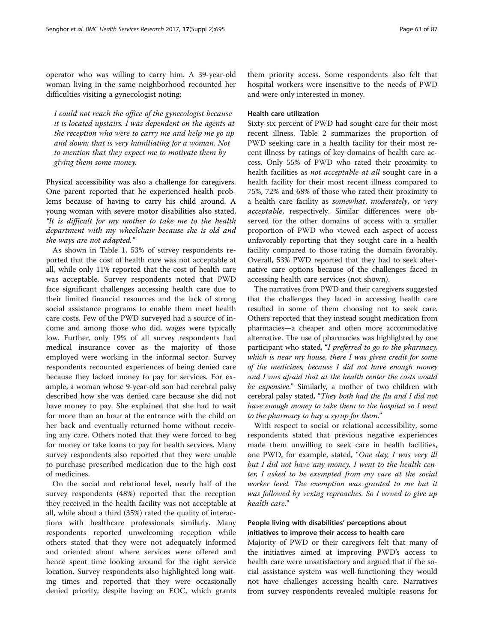operator who was willing to carry him. A 39-year-old woman living in the same neighborhood recounted her difficulties visiting a gynecologist noting:

I could not reach the office of the gynecologist because it is located upstairs. I was dependent on the agents at the reception who were to carry me and help me go up and down; that is very humiliating for a woman. Not to mention that they expect me to motivate them by giving them some money.

Physical accessibility was also a challenge for caregivers. One parent reported that he experienced health problems because of having to carry his child around. A young woman with severe motor disabilities also stated, "It is difficult for my mother to take me to the health department with my wheelchair because she is old and the ways are not adapted."

As shown in Table [1](#page-3-0), 53% of survey respondents reported that the cost of health care was not acceptable at all, while only 11% reported that the cost of health care was acceptable. Survey respondents noted that PWD face significant challenges accessing health care due to their limited financial resources and the lack of strong social assistance programs to enable them meet health care costs. Few of the PWD surveyed had a source of income and among those who did, wages were typically low. Further, only 19% of all survey respondents had medical insurance cover as the majority of those employed were working in the informal sector. Survey respondents recounted experiences of being denied care because they lacked money to pay for services. For example, a woman whose 9-year-old son had cerebral palsy described how she was denied care because she did not have money to pay. She explained that she had to wait for more than an hour at the entrance with the child on her back and eventually returned home without receiving any care. Others noted that they were forced to beg for money or take loans to pay for health services. Many survey respondents also reported that they were unable to purchase prescribed medication due to the high cost of medicines.

On the social and relational level, nearly half of the survey respondents (48%) reported that the reception they received in the health facility was not acceptable at all, while about a third (35%) rated the quality of interactions with healthcare professionals similarly. Many respondents reported unwelcoming reception while others stated that they were not adequately informed and oriented about where services were offered and hence spent time looking around for the right service location. Survey respondents also highlighted long waiting times and reported that they were occasionally denied priority, despite having an EOC, which grants

### Health care utilization

Sixty-six percent of PWD had sought care for their most recent illness. Table [2](#page-5-0) summarizes the proportion of PWD seeking care in a health facility for their most recent illness by ratings of key domains of health care access. Only 55% of PWD who rated their proximity to health facilities as not acceptable at all sought care in a health facility for their most recent illness compared to 75%, 72% and 68% of those who rated their proximity to a health care facility as somewhat, moderately, or very acceptable, respectively. Similar differences were observed for the other domains of access with a smaller proportion of PWD who viewed each aspect of access unfavorably reporting that they sought care in a health facility compared to those rating the domain favorably. Overall, 53% PWD reported that they had to seek alternative care options because of the challenges faced in accessing health care services (not shown).

The narratives from PWD and their caregivers suggested that the challenges they faced in accessing health care resulted in some of them choosing not to seek care. Others reported that they instead sought medication from pharmacies—a cheaper and often more accommodative alternative. The use of pharmacies was highlighted by one participant who stated, "I preferred to go to the pharmacy, which is near my house, there I was given credit for some of the medicines, because I did not have enough money and I was afraid that at the health center the costs would be expensive." Similarly, a mother of two children with cerebral palsy stated, "They both had the flu and I did not have enough money to take them to the hospital so I went to the pharmacy to buy a syrup for them."

With respect to social or relational accessibility, some respondents stated that previous negative experiences made them unwilling to seek care in health facilities, one PWD, for example, stated, "One day, I was very ill but I did not have any money. I went to the health center, I asked to be exempted from my care at the social worker level. The exemption was granted to me but it was followed by vexing reproaches. So I vowed to give up health care."

# People living with disabilities' perceptions about initiatives to improve their access to health care

Majority of PWD or their caregivers felt that many of the initiatives aimed at improving PWD's access to health care were unsatisfactory and argued that if the social assistance system was well-functioning they would not have challenges accessing health care. Narratives from survey respondents revealed multiple reasons for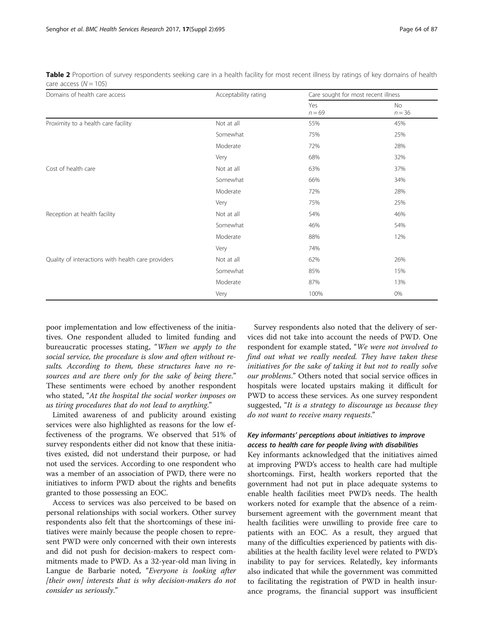| Domains of health care access                      | Acceptability rating | Care sought for most recent illness |                       |  |
|----------------------------------------------------|----------------------|-------------------------------------|-----------------------|--|
|                                                    |                      | Yes<br>$n = 69$                     | <b>No</b><br>$n = 36$ |  |
| Proximity to a health care facility                | Not at all           | 55%                                 | 45%                   |  |
|                                                    | Somewhat             | 75%                                 | 25%                   |  |
|                                                    | Moderate             | 72%                                 | 28%                   |  |
|                                                    | Very                 | 68%                                 | 32%                   |  |
| Cost of health care                                | Not at all           | 63%                                 | 37%                   |  |
|                                                    | Somewhat             | 66%                                 | 34%                   |  |
|                                                    | Moderate             | 72%                                 | 28%                   |  |
|                                                    | Very                 | 75%                                 | 25%                   |  |
| Reception at health facility                       | Not at all           | 54%                                 | 46%                   |  |
|                                                    | Somewhat             | 46%                                 | 54%                   |  |
|                                                    | Moderate             | 88%                                 | 12%                   |  |
|                                                    | Very                 | 74%                                 |                       |  |
| Quality of interactions with health care providers | Not at all           | 62%                                 | 26%                   |  |
|                                                    | Somewhat             | 85%                                 | 15%                   |  |
|                                                    | Moderate             | 87%                                 | 13%                   |  |
|                                                    | Very                 | 100%                                | 0%                    |  |

<span id="page-5-0"></span>Table 2 Proportion of survey respondents seeking care in a health facility for most recent illness by ratings of key domains of health care access  $(N = 105)$ 

poor implementation and low effectiveness of the initiatives. One respondent alluded to limited funding and bureaucratic processes stating, "When we apply to the social service, the procedure is slow and often without results. According to them, these structures have no resources and are there only for the sake of being there." These sentiments were echoed by another respondent who stated, "At the hospital the social worker imposes on us tiring procedures that do not lead to anything."

Limited awareness of and publicity around existing services were also highlighted as reasons for the low effectiveness of the programs. We observed that 51% of survey respondents either did not know that these initiatives existed, did not understand their purpose, or had not used the services. According to one respondent who was a member of an association of PWD, there were no initiatives to inform PWD about the rights and benefits granted to those possessing an EOC.

Access to services was also perceived to be based on personal relationships with social workers. Other survey respondents also felt that the shortcomings of these initiatives were mainly because the people chosen to represent PWD were only concerned with their own interests and did not push for decision-makers to respect commitments made to PWD. As a 32-year-old man living in Langue de Barbarie noted, "Everyone is looking after [their own] interests that is why decision-makers do not consider us seriously."

Survey respondents also noted that the delivery of services did not take into account the needs of PWD. One respondent for example stated, "We were not involved to find out what we really needed. They have taken these initiatives for the sake of taking it but not to really solve our problems." Others noted that social service offices in hospitals were located upstairs making it difficult for PWD to access these services. As one survey respondent suggested, "It is a strategy to discourage us because they do not want to receive many requests."

# Key informants' perceptions about initiatives to improve access to health care for people living with disabilities

Key informants acknowledged that the initiatives aimed at improving PWD's access to health care had multiple shortcomings. First, health workers reported that the government had not put in place adequate systems to enable health facilities meet PWD's needs. The health workers noted for example that the absence of a reimbursement agreement with the government meant that health facilities were unwilling to provide free care to patients with an EOC. As a result, they argued that many of the difficulties experienced by patients with disabilities at the health facility level were related to PWD's inability to pay for services. Relatedly, key informants also indicated that while the government was committed to facilitating the registration of PWD in health insurance programs, the financial support was insufficient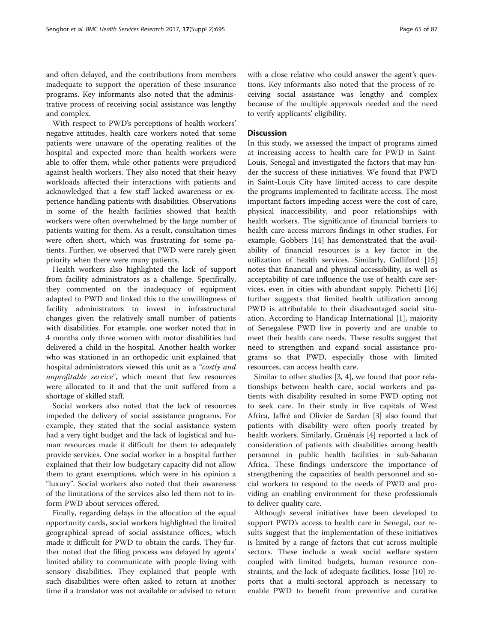With respect to PWD's perceptions of health workers' negative attitudes, health care workers noted that some patients were unaware of the operating realities of the hospital and expected more than health workers were able to offer them, while other patients were prejudiced against health workers. They also noted that their heavy workloads affected their interactions with patients and acknowledged that a few staff lacked awareness or experience handling patients with disabilities. Observations in some of the health facilities showed that health workers were often overwhelmed by the large number of patients waiting for them. As a result, consultation times were often short, which was frustrating for some patients. Further, we observed that PWD were rarely given priority when there were many patients.

Health workers also highlighted the lack of support from facility administrators as a challenge. Specifically, they commented on the inadequacy of equipment adapted to PWD and linked this to the unwillingness of facility administrators to invest in infrastructural changes given the relatively small number of patients with disabilities. For example, one worker noted that in 4 months only three women with motor disabilities had delivered a child in the hospital. Another health worker who was stationed in an orthopedic unit explained that hospital administrators viewed this unit as a "costly and unprofitable service", which meant that few resources were allocated to it and that the unit suffered from a shortage of skilled staff.

Social workers also noted that the lack of resources impeded the delivery of social assistance programs. For example, they stated that the social assistance system had a very tight budget and the lack of logistical and human resources made it difficult for them to adequately provide services. One social worker in a hospital further explained that their low budgetary capacity did not allow them to grant exemptions, which were in his opinion a "luxury". Social workers also noted that their awareness of the limitations of the services also led them not to inform PWD about services offered.

Finally, regarding delays in the allocation of the equal opportunity cards, social workers highlighted the limited geographical spread of social assistance offices, which made it difficult for PWD to obtain the cards. They further noted that the filing process was delayed by agents' limited ability to communicate with people living with sensory disabilities. They explained that people with such disabilities were often asked to return at another time if a translator was not available or advised to return

# **Discussion**

In this study, we assessed the impact of programs aimed at increasing access to health care for PWD in Saint-Louis, Senegal and investigated the factors that may hinder the success of these initiatives. We found that PWD in Saint-Louis City have limited access to care despite the programs implemented to facilitate access. The most important factors impeding access were the cost of care, physical inaccessibility, and poor relationships with health workers. The significance of financial barriers to health care access mirrors findings in other studies. For example, Gobbers [\[14\]](#page-7-0) has demonstrated that the availability of financial resources is a key factor in the utilization of health services. Similarly, Gulliford [[15](#page-7-0)] notes that financial and physical accessibility, as well as acceptability of care influence the use of health care services, even in cities with abundant supply. Pichetti [[16](#page-7-0)] further suggests that limited health utilization among PWD is attributable to their disadvantaged social situation. According to Handicap International [[1\]](#page-7-0), majority of Senegalese PWD live in poverty and are unable to meet their health care needs. These results suggest that need to strengthen and expand social assistance programs so that PWD, especially those with limited resources, can access health care.

Similar to other studies [[3, 4\]](#page-7-0), we found that poor relationships between health care, social workers and patients with disability resulted in some PWD opting not to seek care. In their study in five capitals of West Africa, Jaffré and Olivier de Sardan [\[3\]](#page-7-0) also found that patients with disability were often poorly treated by health workers. Similarly, Gruénais [[4\]](#page-7-0) reported a lack of consideration of patients with disabilities among health personnel in public health facilities in sub-Saharan Africa. These findings underscore the importance of strengthening the capacities of health personnel and social workers to respond to the needs of PWD and providing an enabling environment for these professionals to deliver quality care.

Although several initiatives have been developed to support PWD's access to health care in Senegal, our results suggest that the implementation of these initiatives is limited by a range of factors that cut across multiple sectors. These include a weak social welfare system coupled with limited budgets, human resource constraints, and the lack of adequate facilities. Josse [[10](#page-7-0)] reports that a multi-sectoral approach is necessary to enable PWD to benefit from preventive and curative